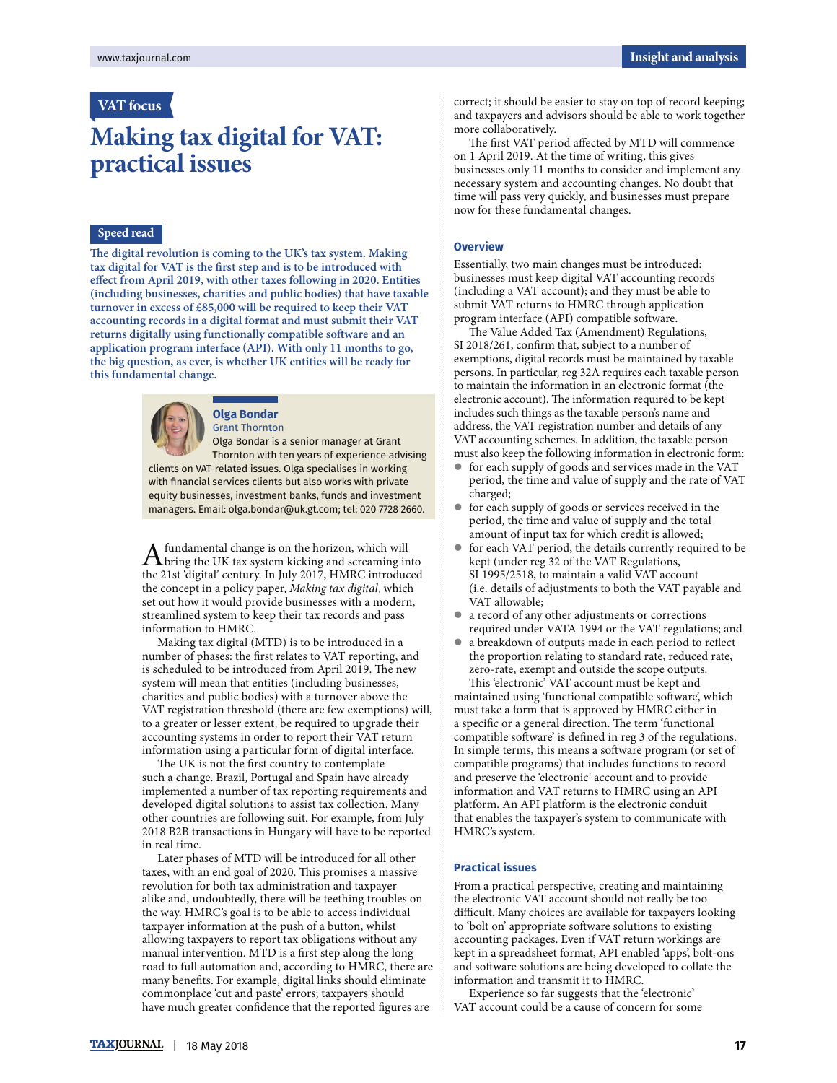## **VAT focus**

# **Making tax digital for VAT: practical issues**

#### **Speed read**

**e digital revolution is coming to the UK's tax system. Making**  tax digital for VAT is the first step and is to be introduced with **effect from April 2019, with other taxes following in 2020. Entities (including businesses, charities and public bodies) that have taxable turnover in excess of £85,000 will be required to keep their VAT accounting records in a digital format and must submit their VAT**  returns digitally using functionally compatible software and an **application program interface (API). With only 11 months to go, the big question, as ever, is whether UK entities will be ready for this fundamental change.**



#### **Olga Bondar** Grant Thornton

Olga Bondar is a senior manager at Grant Thornton with ten years of experience advising clients on VAT-related issues. Olga specialises in working with financial services clients but also works with private equity businesses, investment banks, funds and investment managers. Email: olga.bondar@uk.gt.com; tel: 020 7728 2660.

A fundamental change is on the horizon, which will bring the UK tax system kicking and screaming into the 21st 'digital' century. In July 2017, HMRC introduced the concept in a policy paper, Making tax digital, which set out how it would provide businesses with a modern, streamlined system to keep their tax records and pass information to HMRC.

Making tax digital (MTD) is to be introduced in a number of phases: the first relates to VAT reporting, and is scheduled to be introduced from April 2019. The new system will mean that entities (including businesses, charities and public bodies) with a turnover above the VAT registration threshold (there are few exemptions) will, to a greater or lesser extent, be required to upgrade their accounting systems in order to report their VAT return information using a particular form of digital interface.

The UK is not the first country to contemplate such a change. Brazil, Portugal and Spain have already implemented a number of tax reporting requirements and developed digital solutions to assist tax collection. Many other countries are following suit. For example, from July 2018 B2B transactions in Hungary will have to be reported in real time.

Later phases of MTD will be introduced for all other taxes, with an end goal of 2020. This promises a massive revolution for both tax administration and taxpayer alike and, undoubtedly, there will be teething troubles on the way. HMRC's goal is to be able to access individual taxpayer information at the push of a button, whilst allowing taxpayers to report tax obligations without any manual intervention. MTD is a first step along the long road to full automation and, according to HMRC, there are many benefits. For example, digital links should eliminate commonplace 'cut and paste' errors; taxpayers should have much greater confidence that the reported figures are

correct; it should be easier to stay on top of record keeping; and taxpayers and advisors should be able to work together more collaboratively.

The first VAT period affected by MTD will commence on 1 April 2019. At the time of writing, this gives businesses only 11 months to consider and implement any necessary system and accounting changes. No doubt that time will pass very quickly, and businesses must prepare now for these fundamental changes.

### **Overview**

Essentially, two main changes must be introduced: businesses must keep digital VAT accounting records (including a VAT account); and they must be able to submit VAT returns to HMRC through application program interface (API) compatible software.

The Value Added Tax (Amendment) Regulations, SI 2018/261, confirm that, subject to a number of exemptions, digital records must be maintained by taxable persons. In particular, reg 32A requires each taxable person to maintain the information in an electronic format (the electronic account). The information required to be kept includes such things as the taxable person's name and address, the VAT registration number and details of any VAT accounting schemes. In addition, the taxable person must also keep the following information in electronic form:

- for each supply of goods and services made in the VAT period, the time and value of supply and the rate of VAT charged;
- for each supply of goods or services received in the period, the time and value of supply and the total amount of input tax for which credit is allowed;
- for each VAT period, the details currently required to be kept (under reg 32 of the VAT Regulations, SI 1995/2518, to maintain a valid VAT account (i.e. details of adjustments to both the VAT payable and VAT allowable;
- a record of any other adjustments or corrections required under VATA 1994 or the VAT regulations; and
- a breakdown of outputs made in each period to reflect the proportion relating to standard rate, reduced rate, zero-rate, exempt and outside the scope outputs. This 'electronic' VAT account must be kept and

maintained using 'functional compatible software', which must take a form that is approved by HMRC either in a specific or a general direction. The term 'functional compatible software' is defined in reg 3 of the regulations. In simple terms, this means a software program (or set of compatible programs) that includes functions to record and preserve the 'electronic' account and to provide information and VAT returns to HMRC using an API platform. An API platform is the electronic conduit that enables the taxpayer's system to communicate with HMRC's system.

#### **Practical issues**

From a practical perspective, creating and maintaining the electronic VAT account should not really be too difficult. Many choices are available for taxpayers looking to 'bolt on' appropriate software solutions to existing accounting packages. Even if VAT return workings are kept in a spreadsheet format, API enabled 'apps', bolt-ons and software solutions are being developed to collate the information and transmit it to HMRC.

Experience so far suggests that the 'electronic' VAT account could be a cause of concern for some